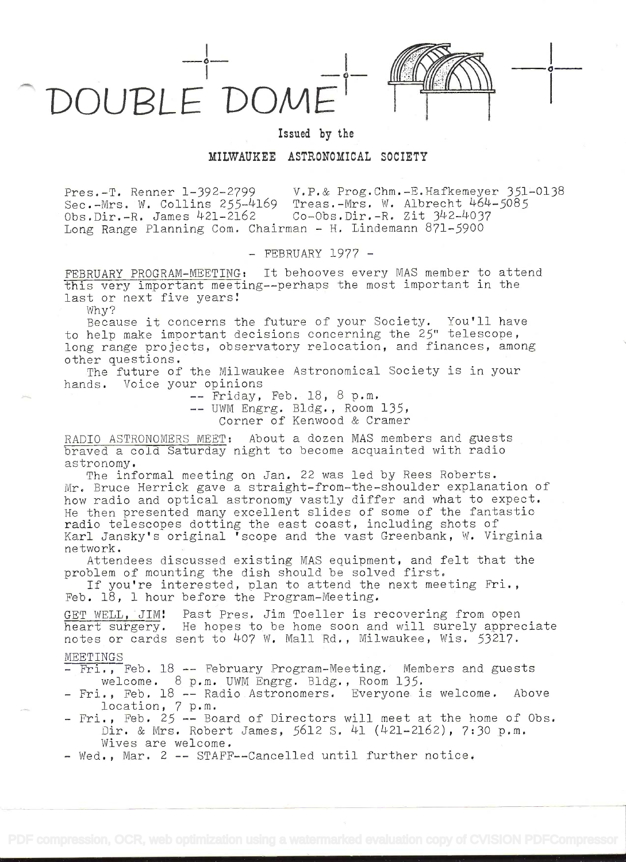

Issued by the

## MILWAUKEE ASTRONOMICAL SOCIETY

Pres.-T. Renner 1-392--2799 V.P.& Prog.Chm.-E.Hafkemeyer 351-0138 Sec.-Mrs. W. Collins 255-4169 Treas.-Mrs. W. Albrecht 464-5085<br>Obs.Dir.-R. James 421-2162 Co-Obs.Dir.-R. Zit 342-4037 Obs.Dir.-R. James 421-2162 Long Range Planning Com. Chairman - H. Lindemann 871-5900

- FEBRUARY 1977 -

FEBRUARY PROGRAM-MEETING: It behooves every MAS member to attend this very important meeting--perhaps the most important in the last or next five years!

Why?

Because it concerns the future of your Society. You'll have -to help make important decisions concerning the 25" telescope, long range projects, observatory relocation, and finances, among other questions.

The future of the Milwaukee Astronomical Society is in your hands. Voice your opinions

> -- Friday, Feb. 18, 8 p.m. -- UWM Engrg. Bldg. , Room 135,

Corner of Kenwood & Cramer

RADIO ASTRONOMERS MEET: About a dozen MAS members and guests braved a cold Saturday night to become acquainted with radio astronomy.

The informal meeting on Jan. 22 was led by Rees Roberts. Mr. Bruce Herrick gave a straight-from-the-shoulder explanation of how radio and optical astronomy vastly differ and what to expect. He then presented many excellent slides of some of the fantastic radio telescopes dotting the east coast, including shots of Karl Jansky's original 'scope and the vast Greenbank, W. Virginia network.

Attendees discussed existing MAS equipment, and felt that the problem of mounting the dish should be solved first.

If you're interested, plan to attend the next meeting Fri. Feb. 18, 1 hour before the Program-Meeting.

WELL, JIM! Past Pres. Jim Toeller is recovering from open heart surgery. He hopes to be home soon and will surely appreciate notes or cards sent to 407 W. Mall Rd., Milwaukee, Wis. 53217.

## MEETINGS

- Fri., Feb. 18 -- February Program-Meeting. Members and guests welcome. 8 p.m. UWM Engrg. Bldg. , Room 135.

- Fri., Feb. 18 -- Radio.Astronomers. Everyone. is welcome. Above location, 7 p.m.  $p \cdot m$ .
- Fri., Feb. 25 -- Board Dir. & Mrs. Robert James, 5612 S. 41 (421-2162), 7:30 p.m. Wives are welcome. -- Board of Directors will meet at the home of Obs.

- Wed., Mar. 2 -- STAFF--Cancelled until further notice.